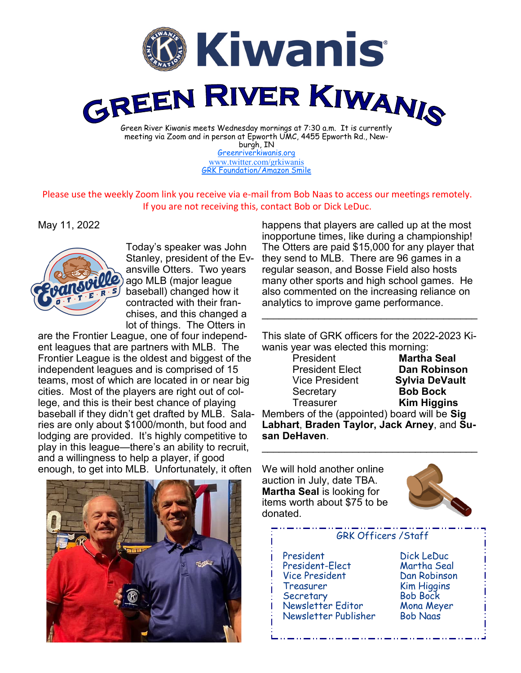

burgh, IN [Greenriverkiwanis.org](http://greenriverkiwanis.org/default.aspx) [www.twitter.com/grkiwanis](http://www.twitter.com/grkiwanis) [GRK Foundation/Amazon Smile](https://smile.amazon.com/ch/81-0946403)

Please use the weekly Zoom link you receive via e-mail from Bob Naas to access our meetings remotely. If you are not receiving this, contact Bob or Dick LeDuc.

May 11, 2022



Today's speaker was John Stanley, president of the Evansville Otters. Two years ago MLB (major league baseball) changed how it contracted with their franchises, and this changed a lot of things. The Otters in

are the Frontier League, one of four independent leagues that are partners with MLB. The Frontier League is the oldest and biggest of the independent leagues and is comprised of 15 teams, most of which are located in or near big cities. Most of the players are right out of college, and this is their best chance of playing baseball if they didn't get drafted by MLB. Salaries are only about \$1000/month, but food and lodging are provided. It's highly competitive to play in this league—there's an ability to recruit, and a willingness to help a player, if good enough, to get into MLB. Unfortunately, it often

happens that players are called up at the most inopportune times, like during a championship! The Otters are paid \$15,000 for any player that they send to MLB. There are 96 games in a regular season, and Bosse Field also hosts many other sports and high school games. He also commented on the increasing reliance on analytics to improve game performance.

This slate of GRK officers for the 2022-2023 Kiwanis year was elected this morning:

\_\_\_\_\_\_\_\_\_\_\_\_\_\_\_\_\_\_\_\_\_\_\_\_\_\_\_\_\_\_\_\_\_\_\_\_\_\_

President **Martha Seal President Elect Dan Robinson**<br>Vice President **Sylvia DeVault** Secretary **Bob Bock** Treasurer **Kim Higgins**

**Sylvia DeVault** 

Members of the (appointed) board will be **Sig Labhart**, **Braden Taylor, Jack Arney**, and **Susan DeHaven**.  $\mathcal{L}_\text{max}$  and  $\mathcal{L}_\text{max}$  and  $\mathcal{L}_\text{max}$  and  $\mathcal{L}_\text{max}$ 

We will hold another online auction in July, date TBA. **Martha Seal** is looking for items worth about \$75 to be donated.



## GRK Officers /Staff

 President Dick LeDuc President-Elect Vice President Dan Robinson Treasurer Kim Higgins Secretary Bob Bock Newsletter Editor Mona Meyer Newsletter Publisher Bob Naas

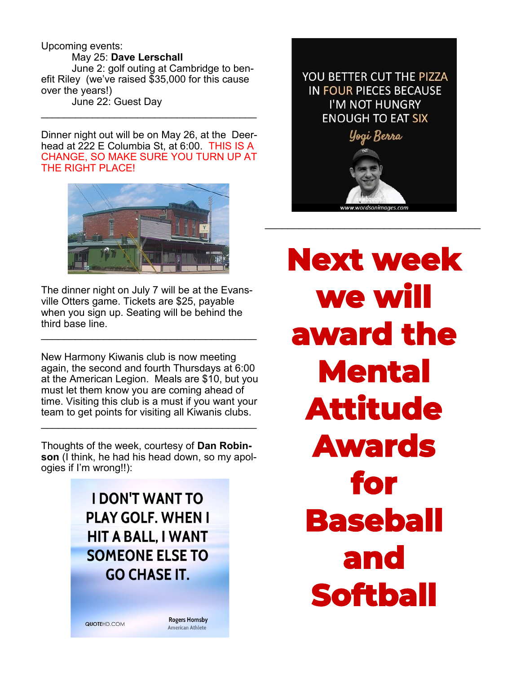Upcoming events: May 25: **Dave Lerschall** June 2: golf outing at Cambridge to benefit Riley (we've raised \$35,000 for this cause over the years!) June 22: Guest Day

Dinner night out will be on May 26, at the Deerhead at 222 E Columbia St, at 6:00. THIS IS A CHANGE, SO MAKE SURE YOU TURN UP AT THE RIGHT PLACE!

 $\mathcal{L}_\text{max}$  , and the set of the set of the set of the set of the set of the set of the set of the set of the set of the set of the set of the set of the set of the set of the set of the set of the set of the set of the



The dinner night on July 7 will be at the Evansville Otters game. Tickets are \$25, payable when you sign up. Seating will be behind the third base line.

 $\mathcal{L}_\text{max}$  , and the set of the set of the set of the set of the set of the set of the set of the set of the set of the set of the set of the set of the set of the set of the set of the set of the set of the set of the

New Harmony Kiwanis club is now meeting again, the second and fourth Thursdays at 6:00 at the American Legion. Meals are \$10, but you must let them know you are coming ahead of time. Visiting this club is a must if you want your team to get points for visiting all Kiwanis clubs.

Thoughts of the week, courtesy of **Dan Robinson** (I think, he had his head down, so my apologies if I'm wrong!!):

\_\_\_\_\_\_\_\_\_\_\_\_\_\_\_\_\_\_\_\_\_\_\_\_\_\_\_\_\_\_\_\_\_\_\_\_\_\_

**I DON'T WANT TO PLAY GOLF. WHEN I HIT A BALL. I WANT SOMEONE ELSE TO GO CHASE IT.** 

QUOTEHD.COM

**Rogers Hornsby American Athlete**